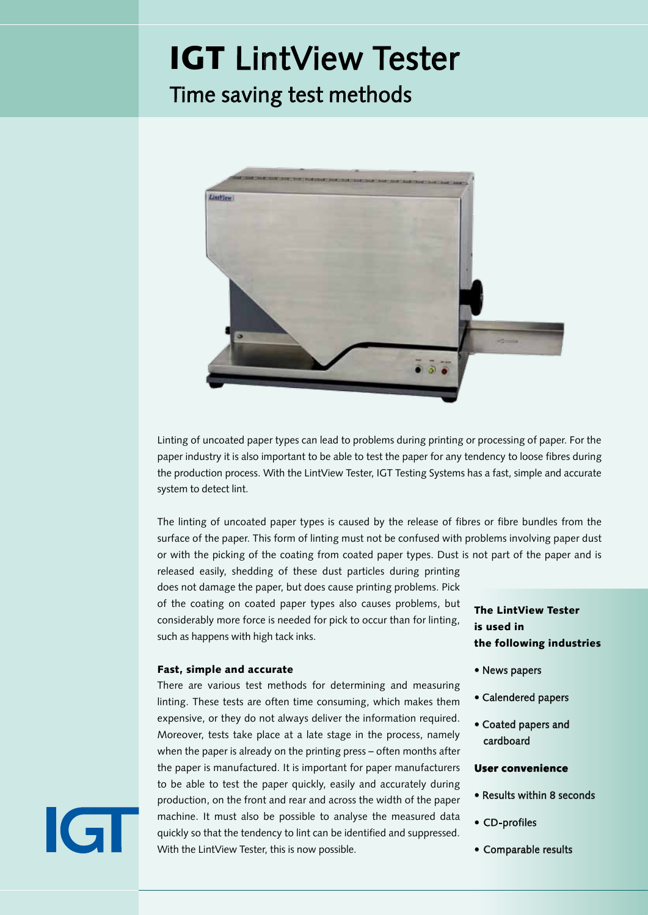### IGT LintView Tester

### Time saving test methods リントビューテスター



非塗工紙を濡らすと、紙の印刷または処理中に問題が発生することがあります。 製紙産業に とって、製造工程中に繊維をゆるめる傾向について紙を試験することができることは重要で  $\mathbf{\dot{d}}$ リントビューテスターを使用すると、短時間で簡単にリントを検出できます。非塗工紙 のリントは、紙の表面からの繊維または繊維束の離反によって引き起こされます。 この形の リンティングは、紙粉が関わる問題やコート紙からのコーティングの選択と混同しないことが 大切です。

ダストは紙の一部ではなく、容易に放出され、印刷中にこれらの ダスト粒子の脱落は紙を傷つけませんが、印刷上の問題を引き起 します。 塗工紙タイプのコーティングのピッキングも問題を引 き起こしますが、粘着性の高いインキの場合のように、リントに 比べピッキングにはかなり大きな力が必要です。

#### Fast, simple and accurate

There are various test methods for determining and measuring linting. These tests are often time consuming, which makes them expensive, or they do not always deliver the information required. Moreover, tests take place at a late stage in the process, namely when the paper is already on the printing press – often months after the paper is manufactured. It is important for paper manufacturers to be able to test the paper quickly, easily and accurately during production, on the front and rear and across the width of the paper machine. It must also be possible to analyse the measured data quickly so that the tendency to lint can be identified and suppressed. With the LintView Tester, this is now possible.

The LintView Tester is used in the following industries

- News papers
- Calendered papers
- Coated papers and cardboard

#### User convenience

- Results within 8 seconds
- CD-profiles
- Comparable results

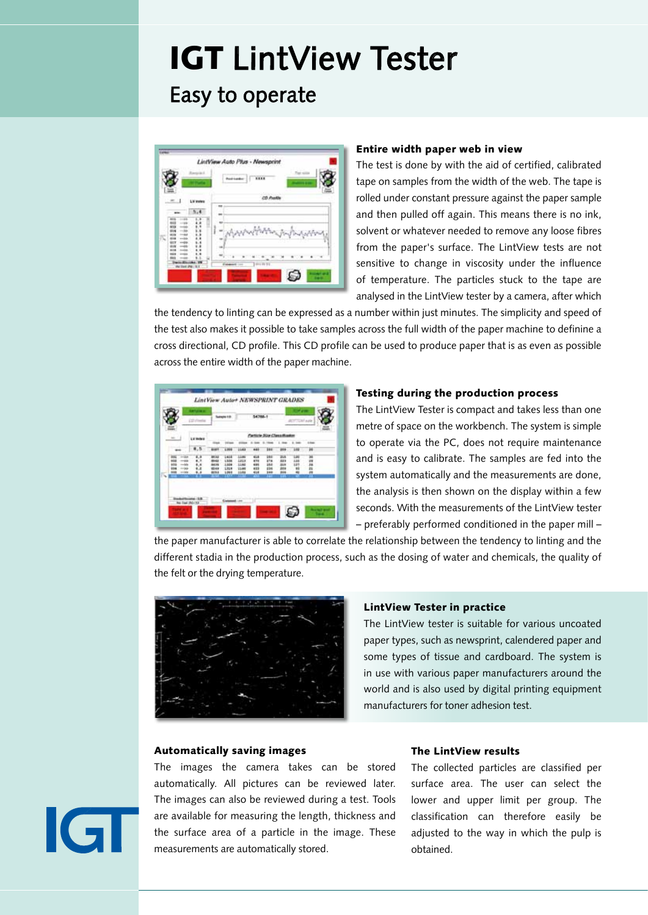### IGT LintView Tester Easy to operate



#### Entire width paper web in view

The test is done by with the aid of certified, calibrated tape on samples from the width of the web. The tape is rolled under constant pressure against the paper sample and then pulled off again. This means there is no ink, solvent or whatever needed to remove any loose fibres from the paper's surface. The LintView tests are not sensitive to change in viscosity under the influence of temperature. The particles stuck to the tape are analysed in the LintView tester by a camera, after which

the tendency to linting can be expressed as a number within just minutes. The simplicity and speed of the test also makes it possible to take samples across the full width of the paper machine to definine a cross directional, CD profile. This CD profile can be used to produce paper that is as even as possible across the entire width of the paper machine.



#### Testing during the production process

The LintView Tester is compact and takes less than one metre of space on the workbench. The system is simple to operate via the PC, does not require maintenance and is easy to calibrate. The samples are fed into the system automatically and the measurements are done, the analysis is then shown on the display within a few seconds. With the measurements of the LintView tester – preferably performed conditioned in the paper mill –

the paper manufacturer is able to correlate the relationship between the tendency to linting and the different stadia in the production process, such as the dosing of water and chemicals, the quality of the felt or the drying temperature.



#### LintView Tester in practice

The LintView tester is suitable for various uncoated paper types, such as newsprint, calendered paper and some types of tissue and cardboard. The system is in use with various paper manufacturers around the world and is also used by digital printing equipment manufacturers for toner adhesion test.

#### Automatically saving images

The images the camera takes can be stored automatically. All pictures can be reviewed later. The images can also be reviewed during a test. Tools are available for measuring the length, thickness and the surface area of a particle in the image. These measurements are automatically stored.

#### The LintView results

The collected particles are classified per surface area. The user can select the lower and upper limit per group. The classification can therefore easily be adjusted to the way in which the pulp is obtained.

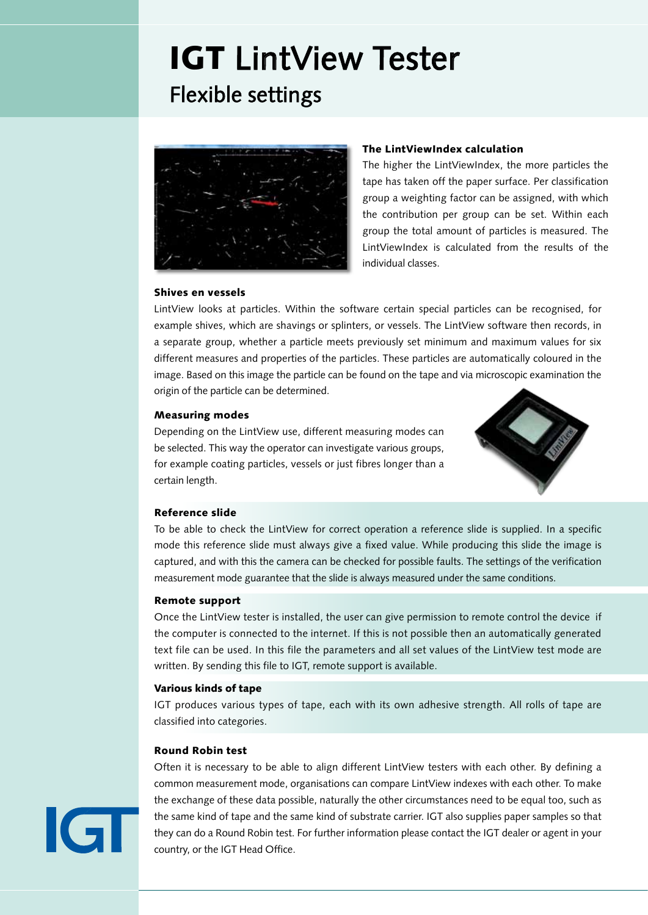### IGT LintView Tester Flexible settings



#### The LintViewIndex calculation

The higher the LintViewIndex, the more particles the tape has taken off the paper surface. Per classification group a weighting factor can be assigned, with which the contribution per group can be set. Within each group the total amount of particles is measured. The LintViewIndex is calculated from the results of the individual classes.

#### Shives en vessels

LintView looks at particles. Within the software certain special particles can be recognised, for example shives, which are shavings or splinters, or vessels. The LintView software then records, in a separate group, whether a particle meets previously set minimum and maximum values for six different measures and properties of the particles. These particles are automatically coloured in the image. Based on this image the particle can be found on the tape and via microscopic examination the origin of the particle can be determined.

#### Measuring modes

Depending on the LintView use, different measuring modes can be selected. This way the operator can investigate various groups, for example coating particles, vessels or just fibres longer than a certain length.



#### Reference slide

To be able to check the LintView for correct operation a reference slide is supplied. In a specific mode this reference slide must always give a fixed value. While producing this slide the image is captured, and with this the camera can be checked for possible faults. The settings of the verification measurement mode guarantee that the slide is always measured under the same conditions.

#### Remote support

Once the LintView tester is installed, the user can give permission to remote control the device if the computer is connected to the internet. If this is not possible then an automatically generated text file can be used. In this file the parameters and all set values of the LintView test mode are written. By sending this file to IGT, remote support is available.

#### Various kinds of tape

IGT produces various types of tape, each with its own adhesive strength. All rolls of tape are classified into categories.

#### Round Robin test

 $\overline{G}$ 

Often it is necessary to be able to align different LintView testers with each other. By defining a common measurement mode, organisations can compare LintView indexes with each other. To make the exchange of these data possible, naturally the other circumstances need to be equal too, such as the same kind of tape and the same kind of substrate carrier. IGT also supplies paper samples so that they can do a Round Robin test. For further information please contact the IGT dealer or agent in your country, or the IGT Head Office.